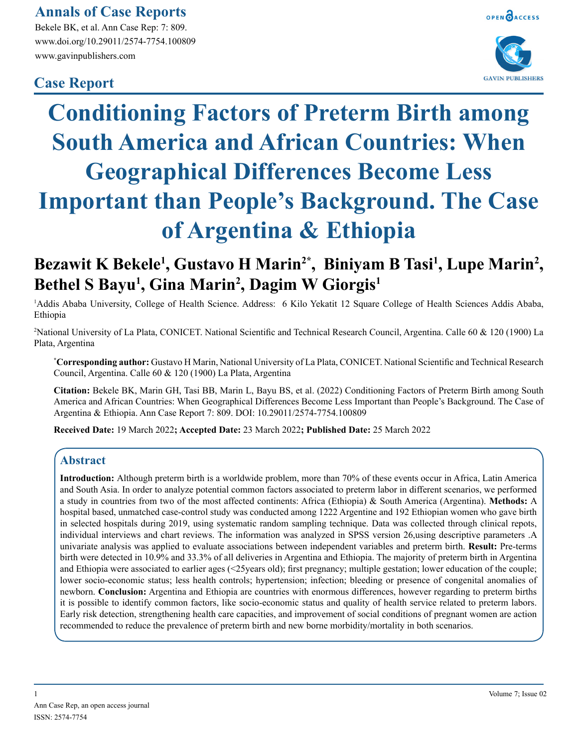# **Annals of Case Reports**

Bekele BK, et al. Ann Case Rep: 7: 809. www.doi.org/10.29011/2574-7754.100809 www.gavinpublishers.com

# **Case Report**





# **Conditioning Factors of Preterm Birth among South America and African Countries: When Geographical Differences Become Less Important than People's Background. The Case of Argentina & Ethiopia**

# Bezawit K Bekele<sup>1</sup>, Gustavo H Marin<sup>2\*</sup>, Biniyam B Tasi<sup>1</sup>, Lupe Marin<sup>2</sup>, **Bethel S Bayu1 , Gina Marin2 , Dagim W Giorgis1**

<sup>1</sup>Addis Ababa University, College of Health Science. Address: 6 Kilo Yekatit 12 Square College of Health Sciences Addis Ababa, Ethiopia

2 National University of La Plata, CONICET. National Scientific and Technical Research Council, Argentina. Calle 60 & 120 (1900) La Plata, Argentina

**\* Corresponding author:** Gustavo H Marin, National University of La Plata, CONICET. National Scientific and Technical Research Council, Argentina. Calle 60 & 120 (1900) La Plata, Argentina

**Citation:** Bekele BK, Marin GH, Tasi BB, Marin L, Bayu BS, et al. (2022) Conditioning Factors of Preterm Birth among South America and African Countries: When Geographical Differences Become Less Important than People's Background. The Case of Argentina & Ethiopia. Ann Case Report 7: 809. DOI: 10.29011/2574-7754.100809

**Received Date:** 19 March 2022**; Accepted Date:** 23 March 2022**; Published Date:** 25 March 2022

# **Abstract**

**Introduction:** Although preterm birth is a worldwide problem, more than 70% of these events occur in Africa, Latin America and South Asia. In order to analyze potential common factors associated to preterm labor in different scenarios, we performed a study in countries from two of the most affected continents: Africa (Ethiopia) & South America (Argentina). **Methods:** A hospital based, unmatched case-control study was conducted among 1222 Argentine and 192 Ethiopian women who gave birth in selected hospitals during 2019, using systematic random sampling technique. Data was collected through clinical repots, individual interviews and chart reviews. The information was analyzed in SPSS version 26,using descriptive parameters .A univariate analysis was applied to evaluate associations between independent variables and preterm birth. **Result:** Pre-terms birth were detected in 10.9% and 33.3% of all deliveries in Argentina and Ethiopia. The majority of preterm birth in Argentina and Ethiopia were associated to earlier ages (<25years old); first pregnancy; multiple gestation; lower education of the couple; lower socio-economic status; less health controls; hypertension; infection; bleeding or presence of congenital anomalies of newborn. **Conclusion:** Argentina and Ethiopia are countries with enormous differences, however regarding to preterm births it is possible to identify common factors, like socio-economic status and quality of health service related to preterm labors. Early risk detection, strengthening health care capacities, and improvement of social conditions of pregnant women are action recommended to reduce the prevalence of preterm birth and new borne morbidity/mortality in both scenarios.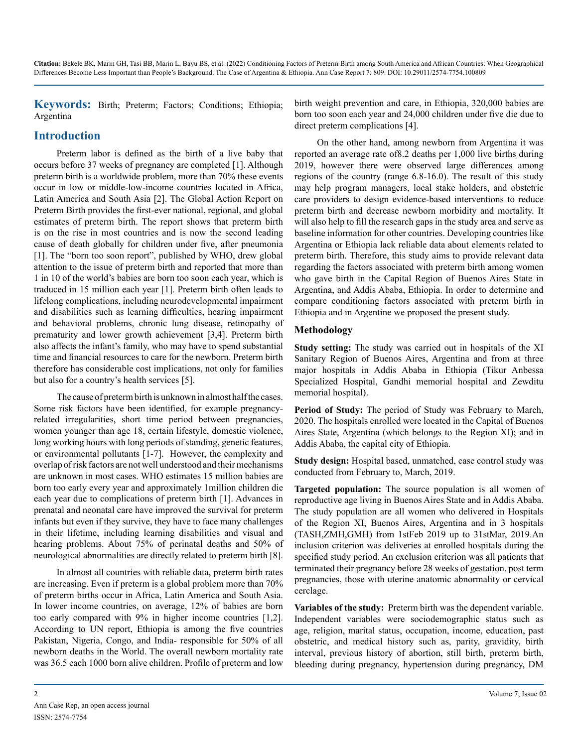**Keywords:** Birth; Preterm; Factors; Conditions; Ethiopia; Argentina

## **Introduction**

Preterm labor is defined as the birth of a live baby that occurs before 37 weeks of pregnancy are completed [1]. Although preterm birth is a worldwide problem, more than 70% these events occur in low or middle-low-income countries located in Africa, Latin America and South Asia [2]. The Global Action Report on Preterm Birth provides the first-ever national, regional, and global estimates of preterm birth. The report shows that preterm birth is on the rise in most countries and is now the second leading cause of death globally for children under five, after pneumonia [1]. The "born too soon report", published by WHO, drew global attention to the issue of preterm birth and reported that more than 1 in 10 of the world's babies are born too soon each year, which is traduced in 15 million each year [1]. Preterm birth often leads to lifelong complications, including neurodevelopmental impairment and disabilities such as learning difficulties, hearing impairment and behavioral problems, chronic lung disease, retinopathy of prematurity and lower growth achievement [3,4]. Preterm birth also affects the infant's family, who may have to spend substantial time and financial resources to care for the newborn. Preterm birth therefore has considerable cost implications, not only for families but also for a country's health services [5].

The cause of preterm birth is unknown in almost half the cases. Some risk factors have been identified, for example pregnancyrelated irregularities, short time period between pregnancies, women younger than age 18, certain lifestyle, domestic violence, long working hours with long periods of standing, genetic features, or environmental pollutants [1-7]. However, the complexity and overlap of risk factors are not well understood and their mechanisms are unknown in most cases. WHO estimates 15 million babies are born too early every year and approximately 1million children die each year due to complications of preterm birth [1]. Advances in prenatal and neonatal care have improved the survival for preterm infants but even if they survive, they have to face many challenges in their lifetime, including learning disabilities and visual and hearing problems. About 75% of perinatal deaths and 50% of neurological abnormalities are directly related to preterm birth [8].

In almost all countries with reliable data, preterm birth rates are increasing. Even if preterm is a global problem more than 70% of preterm births occur in Africa, Latin America and South Asia. In lower income countries, on average, 12% of babies are born too early compared with 9% in higher income countries [1,2]. According to UN report, Ethiopia is among the five countries Pakistan, Nigeria, Congo, and India- responsible for 50% of all newborn deaths in the World. The overall newborn mortality rate was 36.5 each 1000 born alive children. Profile of preterm and low

birth weight prevention and care, in Ethiopia, 320,000 babies are born too soon each year and 24,000 children under five die due to direct preterm complications [4].

On the other hand, among newborn from Argentina it was reported an average rate of8.2 deaths per 1,000 live births during 2019, however there were observed large differences among regions of the country (range 6.8-16.0). The result of this study may help program managers, local stake holders, and obstetric care providers to design evidence-based interventions to reduce preterm birth and decrease newborn morbidity and mortality. It will also help to fill the research gaps in the study area and serve as baseline information for other countries. Developing countries like Argentina or Ethiopia lack reliable data about elements related to preterm birth. Therefore, this study aims to provide relevant data regarding the factors associated with preterm birth among women who gave birth in the Capital Region of Buenos Aires State in Argentina, and Addis Ababa, Ethiopia. In order to determine and compare conditioning factors associated with preterm birth in Ethiopia and in Argentine we proposed the present study.

#### **Methodology**

**Study setting:** The study was carried out in hospitals of the XI Sanitary Region of Buenos Aires, Argentina and from at three major hospitals in Addis Ababa in Ethiopia (Tikur Anbessa Specialized Hospital, Gandhi memorial hospital and Zewditu memorial hospital).

**Period of Study:** The period of Study was February to March, 2020. The hospitals enrolled were located in the Capital of Buenos Aires State, Argentina (which belongs to the Region XI); and in Addis Ababa, the capital city of Ethiopia.

**Study design:** Hospital based, unmatched, case control study was conducted from February to, March, 2019.

**Targeted population:** The source population is all women of reproductive age living in Buenos Aires State and in Addis Ababa. The study population are all women who delivered in Hospitals of the Region XI, Buenos Aires, Argentina and in 3 hospitals (TASH,ZMH,GMH) from 1stFeb 2019 up to 31stMar, 2019.An inclusion criterion was deliveries at enrolled hospitals during the specified study period. An exclusion criterion was all patients that terminated their pregnancy before 28 weeks of gestation, post term pregnancies, those with uterine anatomic abnormality or cervical cerclage.

**Variables of the study:** Preterm birth was the dependent variable. Independent variables were sociodemographic status such as age, religion, marital status, occupation, income, education, past obstetric, and medical history such as, parity, gravidity, birth interval, previous history of abortion, still birth, preterm birth, bleeding during pregnancy, hypertension during pregnancy, DM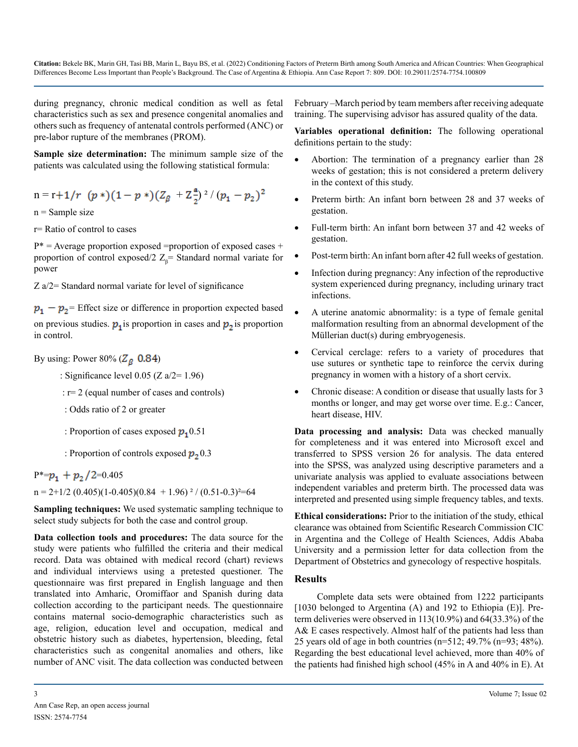during pregnancy, chronic medical condition as well as fetal characteristics such as sex and presence congenital anomalies and others such as frequency of antenatal controls performed (ANC) or pre-labor rupture of the membranes (PROM).

**Sample size determination:** The minimum sample size of the patients was calculated using the following statistical formula:

$$
n = r + 1/r \ \ (p*) (1 - p*) (Z_{\beta} + Z_{\frac{a}{2}}^{a})^{2} / (p_{1} - p_{2})^{2}
$$

 $n =$ Sample size

r= Ratio of control to cases

 $P^*$  = Average proportion exposed =proportion of exposed cases + proportion of control exposed/2  $Z_{\beta}$  = Standard normal variate for power

Z a/2= Standard normal variate for level of significance

 $p_1 - p_2$  Effect size or difference in proportion expected based

on previous studies.  $p_1$  is proportion in cases and  $p_2$  is proportion in control.

By using: Power 80%  $(Z_B \ 0.84)$ 

: Significance level 0.05 (Z a/2= 1.96)

: r= 2 (equal number of cases and controls)

- : Odds ratio of 2 or greater
- : Proportion of cases exposed  $p_1$ 0.51
- : Proportion of controls exposed  $p_2$  0.3

 $P^* = p_1 + p_2 / 2 = 0.405$ 

 $n = 2+1/2$  (0.405)(1-0.405)(0.84 + 1.96)<sup>2</sup> / (0.51-0.3)<sup>2</sup>=64

**Sampling techniques:** We used systematic sampling technique to select study subjects for both the case and control group.

**Data collection tools and procedures:** The data source for the study were patients who fulfilled the criteria and their medical record. Data was obtained with medical record (chart) reviews and individual interviews using a pretested questioner. The questionnaire was first prepared in English language and then translated into Amharic, Oromiffaor and Spanish during data collection according to the participant needs. The questionnaire contains maternal socio-demographic characteristics such as age, religion, education level and occupation, medical and obstetric history such as diabetes, hypertension, bleeding, fetal characteristics such as congenital anomalies and others, like number of ANC visit. The data collection was conducted between

February –March period by team members after receiving adequate training. The supervising advisor has assured quality of the data.

**Variables operational definition:** The following operational definitions pertain to the study:

- Abortion: The termination of a pregnancy earlier than 28 weeks of gestation; this is not considered a preterm delivery in the context of this study.
- Preterm birth: An infant born between 28 and 37 weeks of gestation.
- Full-term birth: An infant born between 37 and 42 weeks of gestation.
- Post-term birth: An infant born after 42 full weeks of gestation.
- Infection during pregnancy: Any infection of the reproductive system experienced during pregnancy, including urinary tract infections.
- A uterine anatomic abnormality: is a type of female genital malformation resulting from an abnormal development of the Müllerian duct(s) during embryogenesis.
- Cervical cerclage: refers to a variety of procedures that use sutures or synthetic tape to reinforce the cervix during pregnancy in women with a history of a short cervix.
- Chronic disease: A condition or disease that usually lasts for 3 months or longer, and may get worse over time. E.g.: Cancer, heart disease, HIV.

**Data processing and analysis:** Data was checked manually for completeness and it was entered into Microsoft excel and transferred to SPSS version 26 for analysis. The data entered into the SPSS, was analyzed using descriptive parameters and a univariate analysis was applied to evaluate associations between independent variables and preterm birth. The processed data was interpreted and presented using simple frequency tables, and texts.

**Ethical considerations:** Prior to the initiation of the study, ethical clearance was obtained from Scientific Research Commission CIC in Argentina and the College of Health Sciences, Addis Ababa University and a permission letter for data collection from the Department of Obstetrics and gynecology of respective hospitals.

#### **Results**

Complete data sets were obtained from 1222 participants  $[1030$  belonged to Argentina (A) and 192 to Ethiopia (E)]. Preterm deliveries were observed in 113(10.9%) and 64(33.3%) of the A& E cases respectively. Almost half of the patients had less than 25 years old of age in both countries (n=512; 49.7% (n=93; 48%). Regarding the best educational level achieved, more than 40% of the patients had finished high school (45% in A and 40% in E). At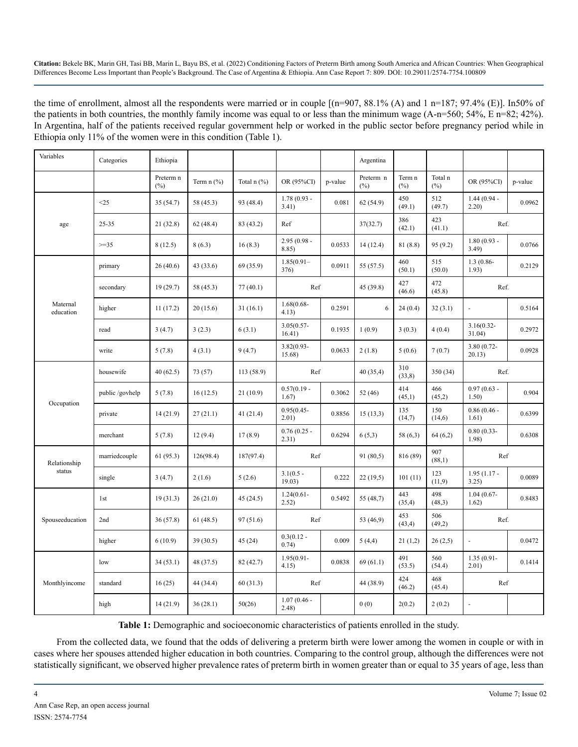the time of enrollment, almost all the respondents were married or in couple [(n=907, 88.1% (A) and 1 n=187; 97.4% (E)]. In50% of the patients in both countries, the monthly family income was equal to or less than the minimum wage (A-n=560; 54%, E n=82; 42%). In Argentina, half of the patients received regular government help or worked in the public sector before pregnancy period while in Ethiopia only 11% of the women were in this condition (Table 1).

| Variables             | Categories      | Ethiopia            |                 |               |                                 |         | Argentina           |                  |                   |                         |         |
|-----------------------|-----------------|---------------------|-----------------|---------------|---------------------------------|---------|---------------------|------------------|-------------------|-------------------------|---------|
|                       |                 | Preterm n<br>$(\%)$ | Term $n$ $(\%)$ | Total $n$ (%) | OR (95%CI)                      | p-value | Preterm n<br>$(\%)$ | Term n<br>$(\%)$ | Total n<br>$(\%)$ | OR (95%CI)              | p-value |
|                       | <25             | 35(54.7)            | 58 (45.3)       | 93 (48.4)     | $1.78(0.93 -$<br>3.41)          | 0.081   | 62(54.9)            | 450<br>(49.1)    | 512<br>(49.7)     | $1.44(0.94 -$<br>2.20   | 0.0962  |
| age                   | 25-35           | 21(32.8)            | 62(48.4)        | 83 (43.2)     | Ref                             |         | 37(32.7)            | 386<br>(42.1)    | 423<br>(41.1)     | Ref.                    |         |
|                       | $>=35$          | 8(12.5)             | 8(6.3)          | 16(8.3)       | $2.95(0.98 -$<br>8.85)          | 0.0533  | 14(12.4)            | 81 (8.8)         | 95(9.2)           | $1.80(0.93 -$<br>3.49   | 0.0766  |
|                       | primary         | 26(40.6)            | 43 (33.6)       | 69 (35.9)     | $1.85(0.91 -$<br>0.0911<br>376) |         | 55 (57.5)           | 460<br>(50.1)    | 515<br>(50.0)     | $1.3(0.86 -$<br>1.93)   | 0.2129  |
|                       | secondary       | 19(29.7)            | 58 (45.3)       | 77(40.1)      |                                 | Ref     |                     | 427<br>(46.6)    | 472<br>(45.8)     | Ref.                    |         |
| Maternal<br>education | higher          | 11(17.2)            | 20(15.6)        | 31(16.1)      | $1.68(0.68 -$<br>4.13)          | 0.2591  | 6                   | 24(0.4)          | 32(3.1)           | $\blacksquare$          | 0.5164  |
|                       | read            | 3(4.7)              | 3(2.3)          | 6(3.1)        | $3.05(0.57 -$<br>16.41)         | 0.1935  | 1(0.9)              | 3(0.3)           | 4(0.4)            | $3.16(0.32 -$<br>31.04) | 0.2972  |
|                       | write           | 5(7.8)              | 4(3.1)          | 9(4.7)        | $3.82(0.93 -$<br>15.68)         | 0.0633  | 2(1.8)              | 5(0.6)           | 7(0.7)            | 3.80 (0.72-<br>20.13)   | 0.0928  |
|                       | housewife       | 40(62.5)            | 73 (57)         | 113(58.9)     | Ref                             |         | 40(35,4)            | 310<br>(33,8)    | 350 (34)          | Ref.                    |         |
| Occupation            | public /govhelp | 5(7.8)              | 16(12.5)        | 21(10.9)      | $0.57(0.19 -$<br>1.67)          | 0.3062  | 52(46)              | 414<br>(45,1)    | 466<br>(45,2)     | $0.97(0.63 -$<br>1.50)  | 0.904   |
|                       | private         | 14(21.9)            | 27(21.1)        | 41(21.4)      | $0.95(0.45 -$<br>2.01)          | 0.8856  | 15(13,3)            | 135<br>(14,7)    | 150<br>(14,6)     | $0.86(0.46 -$<br>1.61)  | 0.6399  |
|                       | merchant        | 5(7.8)              | 12(9.4)         | 17(8.9)       | $0.76(0.25 -$<br>2.31)          | 0.6294  | 6(5,3)              | 58(6,3)          | 64(6,2)           | $0.80(0.33 -$<br>1.98)  | 0.6308  |
| Relationship          | marriedcouple   | 61(95.3)            | 126(98.4)       | 187(97.4)     | Ref                             |         | 91(80,5)            | 816 (89)         | 907<br>(88,1)     | Ref                     |         |
| status                | single          | 3(4.7)              | 2(1.6)          | 5(2.6)        | $3.1(0.5 -$<br>19.03)           | 0.222   | 22(19,5)            | 101(11)          | 123<br>(11,9)     | $1.95(1.17 -$<br>3.25   | 0.0089  |
|                       | 1st             | 19(31.3)            | 26(21.0)        | 45(24.5)      | $1.24(0.61 -$<br>2.52)          | 0.5492  | 55 (48,7)           | 443<br>(35,4)    | 498<br>(48,3)     | $1.04(0.67 -$<br>1.62)  | 0.8483  |
| Spouseeducation       | 2nd             | 36(57.8)            | 61(48.5)        | 97(51.6)      | Ref                             |         | 53 (46,9)           | 453<br>(43, 4)   | 506<br>(49,2)     | Ref.                    |         |
|                       | higher          | 6(10.9)             | 39(30.5)        | 45(24)        | $0.3(0.12 -$<br>0.74)           | 0.009   | 5(4,4)              | 21(1,2)          | 26(2,5)           | $\omega$                | 0.0472  |
|                       | low             | 34(53.1)            | 48 (37.5)       | 82 (42.7)     | $1.95(0.91 -$<br>4.15)          | 0.0838  | 69(61.1)            | 491<br>(53.5)    | 560<br>(54.4)     | $1.35(0.91 -$<br>2.01)  | 0.1414  |
| Monthlyincome         | standard        | 16(25)              | 44 (34.4)       | 60(31.3)      | Ref                             |         | 44 (38.9)           | 424<br>(46.2)    | 468<br>(45.4)     | Ref                     |         |
|                       | high            | 14(21.9)            | 36(28.1)        | 50(26)        | $1.07(0.46 -$<br>2.48)          |         | 0(0)                | 2(0.2)           | 2(0.2)            | $\sim$                  |         |

**Table 1:** Demographic and socioeconomic characteristics of patients enrolled in the study.

From the collected data, we found that the odds of delivering a preterm birth were lower among the women in couple or with in cases where her spouses attended higher education in both countries. Comparing to the control group, although the differences were not statistically significant, we observed higher prevalence rates of preterm birth in women greater than or equal to 35 years of age, less than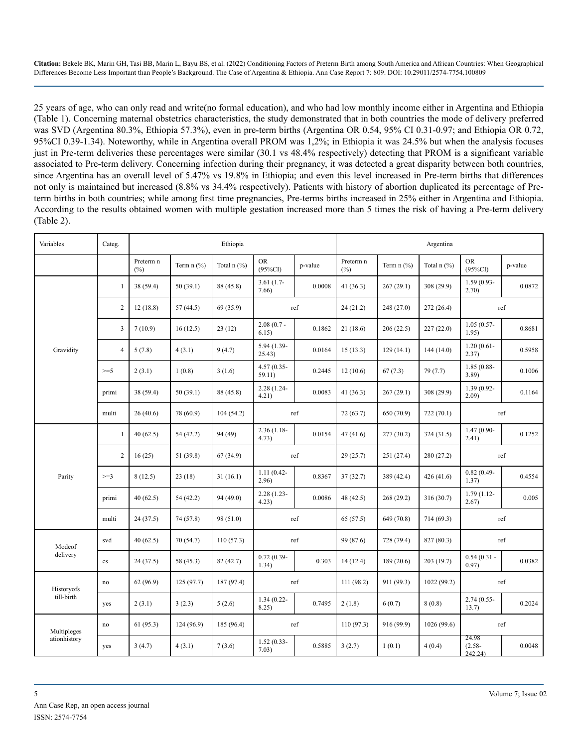25 years of age, who can only read and write(no formal education), and who had low monthly income either in Argentina and Ethiopia (Table 1). Concerning maternal obstetrics characteristics, the study demonstrated that in both countries the mode of delivery preferred was SVD (Argentina 80.3%, Ethiopia 57.3%), even in pre-term births (Argentina OR 0.54, 95% CI 0.31-0.97; and Ethiopia OR 0.72, 95%CI 0.39-1.34). Noteworthy, while in Argentina overall PROM was 1,2%; in Ethiopia it was 24.5% but when the analysis focuses just in Pre-term deliveries these percentages were similar (30.1 vs 48.4% respectively) detecting that PROM is a significant variable associated to Pre-term delivery. Concerning infection during their pregnancy, it was detected a great disparity between both countries, since Argentina has an overall level of 5.47% vs 19.8% in Ethiopia; and even this level increased in Pre-term births that differences not only is maintained but increased (8.8% vs 34.4% respectively). Patients with history of abortion duplicated its percentage of Preterm births in both countries; while among first time pregnancies, Pre-terms births increased in 25% either in Argentina and Ethiopia. According to the results obtained women with multiple gestation increased more than 5 times the risk of having a Pre-term delivery (Table 2).

| Variables                                                                     | Categ.         |                  |                                     | Ethiopia                             |                         |         | Argentina        |                                     |               |                               |         |  |
|-------------------------------------------------------------------------------|----------------|------------------|-------------------------------------|--------------------------------------|-------------------------|---------|------------------|-------------------------------------|---------------|-------------------------------|---------|--|
|                                                                               |                | Preterm n<br>(%) | Term $n$ $\left(\frac{9}{6}\right)$ | Total $n$ $\left(\frac{9}{6}\right)$ | <b>OR</b><br>$(95\%CI)$ | p-value | Preterm n<br>(%) | Term $n$ $\left(\frac{9}{6}\right)$ | Total $n$ (%) | <b>OR</b><br>$(95\%CI)$       | p-value |  |
|                                                                               | 1              | 38 (59.4)        | 50(39.1)                            | 88 (45.8)                            | $3.61(1.7-$<br>7.66     | 0.0008  | 41(36.3)         | 267(29.1)                           | 308(29.9)     | $1.59(0.93 -$<br>2.70)        | 0.0872  |  |
|                                                                               | $\overline{c}$ | 12(18.8)         | 57(44.5)                            | 69(35.9)                             |                         | ref     | 24(21.2)         | 248 (27.0)                          | 272(26.4)     | ref                           |         |  |
|                                                                               | 3              | 7(10.9)          | 16(12.5)                            | 23(12)                               | $2.08(0.7 -$<br>6.15)   | 0.1862  | 21(18.6)         | 206(22.5)                           | 227(22.0)     | $1.05(0.57 -$<br>1.95)        | 0.8681  |  |
| Gravidity                                                                     | 4              | 5(7.8)           | 4(3.1)                              | 9(4.7)                               | 5.94 (1.39-<br>25.43)   | 0.0164  | 15(13.3)         | 129(14.1)                           | 144(14.0)     | $1.20(0.61 -$<br>2.37)        | 0.5958  |  |
|                                                                               | $>=5$          | 2(3.1)           | 1(0.8)                              | 3(1.6)                               | $4.57(0.35 -$<br>59.11) | 0.2445  | 12(10.6)         | 67(7.3)                             | 79(7.7)       | $1.85(0.88 -$<br>3.89         | 0.1006  |  |
|                                                                               | primi          | 38 (59.4)        | 50(39.1)                            | 88 (45.8)                            | 2.28 (1.24-<br>4.21)    | 0.0083  | 41 $(36.3)$      | 267(29.1)                           | 308 (29.9)    | $1.39(0.92 -$<br>$2.09$ )     | 0.1164  |  |
|                                                                               | multi          | 26(40.6)         | 78 (60.9)                           | 104(54.2)                            |                         | ref     | 72(63.7)         | 650 (70.9)                          | 722(70.1)     | ref                           |         |  |
|                                                                               | $\mathbf{1}$   | 40(62.5)         | 54 (42.2)                           | 94 (49)                              | $2.36(1.18-$<br>4.73)   | 0.0154  | 47(41.6)         | 277(30.2)                           | 324(31.5)     | $1.47(0.90 -$<br>2.41)        | 0.1252  |  |
|                                                                               | $\overline{2}$ | 16(25)           | 51 (39.8)                           | 67(34.9)                             | ref                     |         | 29(25.7)         | 251(27.4)                           | 280(27.2)     | ref                           |         |  |
| Parity                                                                        | $>=3$          | 8(12.5)          | 23(18)                              | 31(16.1)                             | $1.11(0.42 -$<br>2.96   | 0.8367  | 37(32.7)         | 389 (42.4)                          | 426(41.6)     | $0.82(0.49 -$<br>1.37)        | 0.4554  |  |
|                                                                               | primi          | 40(62.5)         | 54 (42.2)                           | 94 (49.0)                            | $2.28(1.23 -$<br>4.23   | 0.0086  | 48 (42.5)        | 268(29.2)                           | 316(30.7)     | $1.79(1.12 -$<br>2.67)        | 0.005   |  |
| Modeof<br>delivery<br>Historyofs<br>till-birth<br>Multipleges<br>ationhistory | multi          | 24(37.5)         | 74 (57.8)                           | 98 (51.0)                            |                         | ref     | 65(57.5)         | 649 (70.8)                          | 714(69.3)     | ref                           |         |  |
|                                                                               | svd            | 40(62.5)         | 70 (54.7)                           | 110(57.3)                            |                         | ref     | 99 (87.6)        | 728 (79.4)                          | 827 (80.3)    | ref                           |         |  |
|                                                                               | cs             | 24(37.5)         | 58 (45.3)                           | 82 (42.7)                            | $0.72(0.39-$<br>1.34)   | 0.303   | 14(12.4)         | 189(20.6)                           | 203(19.7)     | $0.54(0.31 -$<br>0.97)        | 0.0382  |  |
|                                                                               | no             | 62(96.9)         | 125(97.7)                           | 187 (97.4)                           |                         | ref     | 111(98.2)        | 911 (99.3)                          | 1022 (99.2)   |                               | ref     |  |
|                                                                               | yes            | 2(3.1)           | 3(2.3)                              | 5(2.6)                               | $1.34(0.22 -$<br>8.25   | 0.7495  | 2(1.8)           | 6(0.7)                              | 8(0.8)        | $2.74(0.55 -$<br>13.7)        | 0.2024  |  |
|                                                                               | no             | 61(95.3)         | 124 (96.9)                          | 185 (96.4)                           |                         | ref     | 110(97.3)        | 916 (99.9)                          | 1026(99.6)    | ref                           |         |  |
|                                                                               | yes            | 3(4.7)           | 4(3.1)                              | 7(3.6)                               | $1.52(0.33 -$<br>7.03)  | 0.5885  | 3(2.7)           | 1(0.1)                              | 4(0.4)        | 24.98<br>$(2.58 -$<br>242.24) | 0.0048  |  |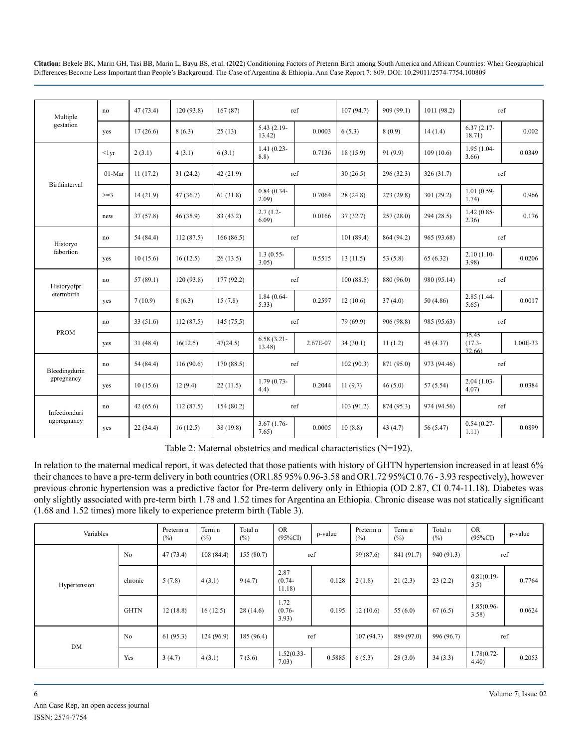| Multiple      | no             | 47(73.4)  | 120(93.8) | 167(87)   |                         | ref      | 107(94.7) | 909(99.1)  | 1011(98.2)  |                              | ref      |
|---------------|----------------|-----------|-----------|-----------|-------------------------|----------|-----------|------------|-------------|------------------------------|----------|
| gestation     | yes            | 17(26.6)  | 8(6.3)    | 25(13)    | $5.43(2.19-$<br>13.42)  | 0.0003   | 6(5.3)    | 8(0.9)     | 14(1.4)     | $6.37(2.17-$<br>18.71)       | 0.002    |
|               | $\langle$ 1 yr | 2(3.1)    | 4(3.1)    | 6(3.1)    | $1.41(0.23 -$<br>8.8)   | 0.7136   | 18(15.9)  | 91(9.9)    | 109(10.6)   | 1.95 (1.04-<br>3.66          | 0.0349   |
| Birthinterval | $01-Mar$       | 11(17.2)  | 31(24.2)  | 42(21.9)  | ref                     |          | 30(26.5)  | 296(32.3)  | 326 (31.7)  | ref                          |          |
|               | $>=3$          | 14(21.9)  | 47(36.7)  | 61(31.8)  | $0.84(0.34-$<br>2.09    | 0.7064   | 28(24.8)  | 273(29.8)  | 301(29.2)   | $1.01(0.59 -$<br>1.74)       | 0.966    |
|               | new            | 37(57.8)  | 46(35.9)  | 83 (43.2) | $2.7(1.2 -$<br>6.09     | 0.0166   | 37(32.7)  | 257(28.0)  | 294 (28.5)  | $1.42(0.85 -$<br>2.36)       | 0.176    |
| Historyo      | no             | 54 (84.4) | 112(87.5) | 166(86.5) | ref                     |          | 101(89.4) | 864 (94.2) | 965 (93.68) | ref                          |          |
| fabortion     | yes            | 10(15.6)  | 16(12.5)  | 26(13.5)  | $1.3(0.55 -$<br>3.05)   | 0.5515   | 13(11.5)  | 53 $(5.8)$ | 65(6.32)    | $2.10(1.10-$<br>3.98         | 0.0206   |
| Historyofpr   | no             | 57(89.1)  | 120(93.8) | 177(92.2) | ref                     |          | 100(88.5) | 880 (96.0) | 980 (95.14) | ref                          |          |
| etermbirth    | yes            | 7(10.9)   | 8(6.3)    | 15(7.8)   | $1.84(0.64 -$<br>5.33   | 0.2597   | 12(10.6)  | 37(4.0)    | 50(4.86)    | $2.85(1.44 -$<br>5.65        | 0.0017   |
|               | no             | 33(51.6)  | 112(87.5) | 145(75.5) |                         | ref      |           | 906 (98.8) | 985 (95.63) | ref                          |          |
| <b>PROM</b>   | yes            | 31(48.4)  | 16(12.5)  | 47(24.5)  | $6.58(3.21 -$<br>13.48) | 2.67E-07 | 34(30.1)  | 11(1.2)    | 45(4.37)    | 35.45<br>$(17.3 -$<br>72.66) | 1.00E-33 |
| Bleedingdurin | no             | 54 (84.4) | 116(90.6) | 170(88.5) |                         | ref      | 102(90.3) | 871 (95.0) | 973 (94.46) |                              | ref      |
| gpregnancy    | yes            | 10(15.6)  | 12(9.4)   | 22(11.5)  | $1.79(0.73-$<br>4.4)    | 0.2044   | 11(9.7)   | 46(5.0)    | 57(5.54)    | $2.04(1.03 -$<br>$4.07$ )    | 0.0384   |
| Infectionduri | no             | 42(65.6)  | 112(87.5) | 154(80.2) |                         | ref      | 103(91.2) | 874 (95.3) | 974 (94.56) | ref                          |          |
| ngpregnancy   | ves            | 22(34.4)  | 16(12.5)  | 38 (19.8) | $3.67(1.76 -$<br>7.65)  | 0.0005   | 10(8.8)   | 43(4.7)    | 56 (5.47)   | $0.54(0.27 -$<br>1.11)       | 0.0899   |

Table 2: Maternal obstetrics and medical characteristics (N=192).

In relation to the maternal medical report, it was detected that those patients with history of GHTN hypertension increased in at least 6% their chances to have a pre-term delivery in both countries (OR1.85 95% 0.96-3.58 and OR1.72 95%CI 0.76 - 3.93 respectively), however previous chronic hypertension was a predictive factor for Pre-term delivery only in Ethiopia (OD 2.87, CI 0.74-11.18). Diabetes was only slightly associated with pre-term birth 1.78 and 1.52 times for Argentina an Ethiopia. Chronic disease was not statically significant (1.68 and 1.52 times) more likely to experience preterm birth (Table 3).

| Variables    |                | Preterm n<br>(%) | Term n<br>$(\%)$ | Total n<br>$(\%)$ | <b>OR</b><br>$(95\%CI)$    | p-value | Preterm n<br>$(\%)$ | Term n<br>$(\%)$ | Total n<br>$(\%)$ | <b>OR</b><br>$(95\%CI)$   | p-value |
|--------------|----------------|------------------|------------------|-------------------|----------------------------|---------|---------------------|------------------|-------------------|---------------------------|---------|
|              | N <sub>0</sub> | 47(73.4)         | 108(84.4)        | 155(80.7)         |                            | ref     |                     | 841 (91.7)       | 940 (91.3)        | ref                       |         |
| Hypertension | chronic        | 5(7.8)           | 4(3.1)           | 9(4.7)            | 2.87<br>$(0.74 -$<br>11.18 | 0.128   | 2(1.8)              | 21(2.3)          | 23(2.2)           | $0.81(0.19-$<br>3.5)      | 0.7764  |
|              | <b>GHTN</b>    | 12(18.8)         | 16(12.5)         | 28(14.6)          | 1.72<br>$(0.76 -$<br>3.93) | 0.195   | 12(10.6)            | 55(6.0)          | 67(6.5)           | $1.85(0.96 -$<br>$3.58$ ) | 0.0624  |
| <b>DM</b>    | No             | 61(95.3)         | 124(96.9)        | 185 (96.4)        |                            | ref     | 107(94.7)           | 889 (97.0)       | 996 (96.7)        | ref                       |         |
|              | Yes            | 3(4.7)           | 4(3.1)           | 7(3.6)            | $1.52(0.33 -$<br>7.03)     | 0.5885  | 6(5.3)              | 28(3.0)          | 34(3.3)           | $1.78(0.72 -$<br>4.40     | 0.2053  |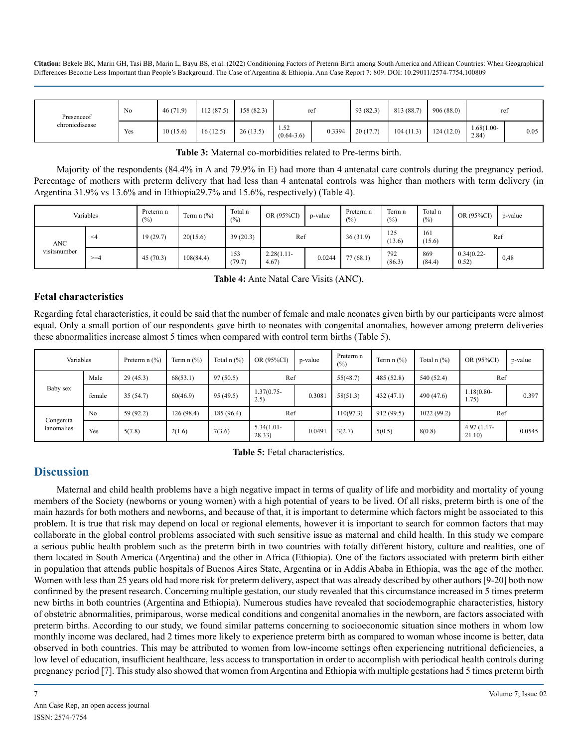| Presenceof     | N <sub>0</sub> | 46(71.9) | 112(87.5) | 158 (82.3) | ref                    |        | 93 (82.3) | 813 (88.7) | 906(88.0) | ref                   |      |
|----------------|----------------|----------|-----------|------------|------------------------|--------|-----------|------------|-----------|-----------------------|------|
| chronicdisease | Yes            | 10(15.6) | 16(12.5)  | 26(13.5)   | 1.52<br>$(0.64 - 3.6)$ | 0.3394 | 20(17.7)  | 104(11.3)  | 124(12.0) | $1.68(1.00 -$<br>2.84 | 0.05 |

#### **Table 3:** Maternal co-morbidities related to Pre-terms birth.

Majority of the respondents (84.4% in A and 79.9% in E) had more than 4 antenatal care controls during the pregnancy period. Percentage of mothers with preterm delivery that had less than 4 antenatal controls was higher than mothers with term delivery (in Argentina 31.9% vs 13.6% and in Ethiopia29.7% and 15.6%, respectively) (Table 4).

|              | Variables | Preterm n<br>(%) | Term $n$ $\left(\frac{9}{6}\right)$ | Total n<br>(%) | OR (95%CI)           | p-value | Preterm n<br>(%) | Term n<br>(% ) | Total n<br>(%) | OR (95%CI)             | p-value |
|--------------|-----------|------------------|-------------------------------------|----------------|----------------------|---------|------------------|----------------|----------------|------------------------|---------|
| ANC          | $<$ 4     | 19(29.7)         | 20(15.6)                            | 39(20.3)       | Ref                  |         | 36(31.9)         | 125<br>(13.6)  | 161<br>(15.6)  | Ref                    |         |
| visitsnumber | $>=$ 4    | 45(70.3)         | 108(84.4)                           | 153<br>(79.7)  | $2.28(1.11-$<br>4.67 | 0.0244  | 77(68.1)         | 792<br>(86.3)  | 869<br>(84.4)  | $0.34(0.22 -$<br>0.52) | 0,48    |

**Table 4:** Ante Natal Care Visits (ANC).

#### **Fetal characteristics**

Regarding fetal characteristics, it could be said that the number of female and male neonates given birth by our participants were almost equal. Only a small portion of our respondents gave birth to neonates with congenital anomalies, however among preterm deliveries these abnormalities increase almost 5 times when compared with control term births (Table 5).

|                                                  |                | Preterm $n$ $\left(\frac{9}{6}\right)$ | Term $n$ $(\%)$ | Total $n$ $(\%)$ | OR (95%CI)              | p-value | Preterm n<br>(%)        | Term $n$ $\left(\frac{9}{6}\right)$ | Total $n$ $\frac{9}{6}$ | OR (95%CI)             | p-value |
|--------------------------------------------------|----------------|----------------------------------------|-----------------|------------------|-------------------------|---------|-------------------------|-------------------------------------|-------------------------|------------------------|---------|
|                                                  | Male           | 29(45.3)                               | 68(53.1)        | 97(50.5)         | Ref                     |         | 55(48.7)                | 485 (52.8)                          | 540 (52.4)              | Ref                    |         |
| Variables<br>Baby sex<br>Congenita<br>lanomalies | female         | 35(54.7)                               | 60(46.9)        | 95(49.5)         | $1.37(0.75 -$<br>2.5)   | 0.3081  | 58(51.3)                | 432(47.1)                           | 490 (47.6)              | 1.18(0.80-<br>1.75)    | 0.397   |
|                                                  | N <sub>0</sub> | 59 (92.2)                              | 126(98.4)       | 185(96.4)        | Ref                     |         | 110(97.3)<br>912 (99.5) |                                     | 1022(99.2)              | Ref                    |         |
|                                                  | Yes            | 5(7.8)                                 | 2(1.6)          | 7(3.6)           | $5.34(1.01 -$<br>28.33) | 0.0491  | 3(2.7)                  | 5(0.5)                              | 8(0.8)                  | $4.97(1.17-$<br>21.10) | 0.0545  |

**Table 5:** Fetal characteristics.

# **Discussion**

Maternal and child health problems have a high negative impact in terms of quality of life and morbidity and mortality of young members of the Society (newborns or young women) with a high potential of years to be lived. Of all risks, preterm birth is one of the main hazards for both mothers and newborns, and because of that, it is important to determine which factors might be associated to this problem. It is true that risk may depend on local or regional elements, however it is important to search for common factors that may collaborate in the global control problems associated with such sensitive issue as maternal and child health. In this study we compare a serious public health problem such as the preterm birth in two countries with totally different history, culture and realities, one of them located in South America (Argentina) and the other in Africa (Ethiopia). One of the factors associated with preterm birth either in population that attends public hospitals of Buenos Aires State, Argentina or in Addis Ababa in Ethiopia, was the age of the mother. Women with less than 25 years old had more risk for preterm delivery, aspect that was already described by other authors [9-20] both now confirmed by the present research. Concerning multiple gestation, our study revealed that this circumstance increased in 5 times preterm new births in both countries (Argentina and Ethiopia). Numerous studies have revealed that sociodemographic characteristics, history of obstetric abnormalities, primiparous, worse medical conditions and congenital anomalies in the newborn, are factors associated with preterm births. According to our study, we found similar patterns concerning to socioeconomic situation since mothers in whom low monthly income was declared, had 2 times more likely to experience preterm birth as compared to woman whose income is better, data observed in both countries. This may be attributed to women from low-income settings often experiencing nutritional deficiencies, a low level of education, insufficient healthcare, less access to transportation in order to accomplish with periodical health controls during pregnancy period [7]. This study also showed that women from Argentina and Ethiopia with multiple gestations had 5 times preterm birth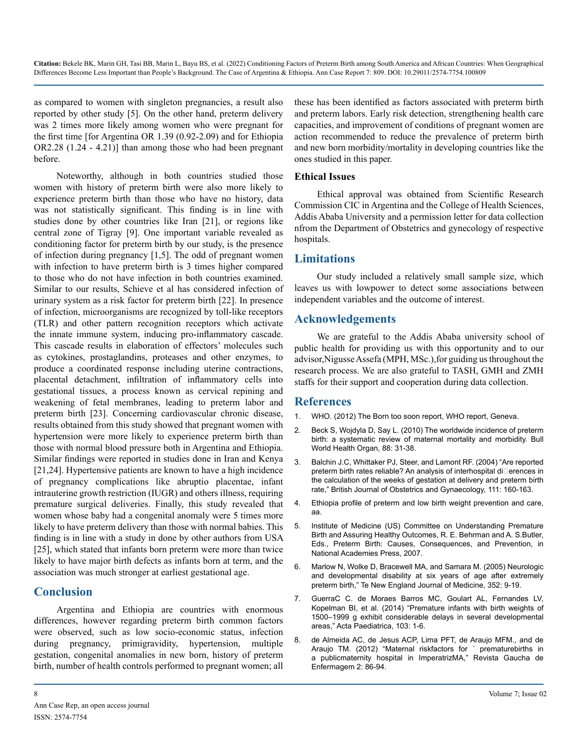as compared to women with singleton pregnancies, a result also reported by other study [5]. On the other hand, preterm delivery was 2 times more likely among women who were pregnant for the first time [for Argentina OR 1.39 (0.92-2.09) and for Ethiopia OR2.28 (1.24 - 4.21)] than among those who had been pregnant before.

Noteworthy, although in both countries studied those women with history of preterm birth were also more likely to experience preterm birth than those who have no history, data was not statistically significant. This finding is in line with studies done by other countries like Iran [21], or regions like central zone of Tigray [9]. One important variable revealed as conditioning factor for preterm birth by our study, is the presence of infection during pregnancy [1,5]. The odd of pregnant women with infection to have preterm birth is 3 times higher compared to those who do not have infection in both countries examined. Similar to our results, Schieve et al has considered infection of urinary system as a risk factor for preterm birth [22]. In presence of infection, microorganisms are recognized by toll-like receptors (TLR) and other pattern recognition receptors which activate the innate immune system, inducing pro-inflammatory cascade. This cascade results in elaboration of effectors' molecules such as cytokines, prostaglandins, proteases and other enzymes, to produce a coordinated response including uterine contractions, placental detachment, infiltration of inflammatory cells into gestational tissues, a process known as cervical repining and weakening of fetal membranes, leading to preterm labor and preterm birth [23]. Concerning cardiovascular chronic disease, results obtained from this study showed that pregnant women with hypertension were more likely to experience preterm birth than those with normal blood pressure both in Argentina and Ethiopia. Similar findings were reported in studies done in Iran and Kenya [21,24]. Hypertensive patients are known to have a high incidence of pregnancy complications like abruptio placentae, infant intrauterine growth restriction (IUGR) and others illness, requiring premature surgical deliveries. Finally, this study revealed that women whose baby had a congenital anomaly were 5 times more likely to have preterm delivery than those with normal babies. This finding is in line with a study in done by other authors from USA [25], which stated that infants born preterm were more than twice likely to have major birth defects as infants born at term, and the association was much stronger at earliest gestational age.

## **Conclusion**

Argentina and Ethiopia are countries with enormous differences, however regarding preterm birth common factors were observed, such as low socio-economic status, infection during pregnancy, primigravidity, hypertension, multiple gestation, congenital anomalies in new born, history of preterm birth, number of health controls performed to pregnant women; all these has been identified as factors associated with preterm birth and preterm labors. Early risk detection, strengthening health care capacities, and improvement of conditions of pregnant women are action recommended to reduce the prevalence of preterm birth and new born morbidity/mortality in developing countries like the ones studied in this paper.

#### **Ethical Issues**

Ethical approval was obtained from Scientific Research Commission CIC in Argentina and the College of Health Sciences, Addis Ababa University and a permission letter for data collection nfrom the Department of Obstetrics and gynecology of respective hospitals.

#### **Limitations**

Our study included a relatively small sample size, which leaves us with lowpower to detect some associations between independent variables and the outcome of interest.

## **Acknowledgements**

We are grateful to the Addis Ababa university school of public health for providing us with this opportunity and to our advisor,Nigusse Assefa (MPH, MSc.),for guiding us throughout the research process. We are also grateful to TASH, GMH and ZMH staffs for their support and cooperation during data collection.

## **References**

- 1. [WHO. \(2012\) The Born too soon report, WHO report, Geneva.](http://www.who.int/pmnch/media/ news/2012/preterm birth report/en/)
- 2. [Beck S, Wojdyla D, Say L. \(2010\) The worldwide incidence of preterm](https://pubmed.ncbi.nlm.nih.gov/20428351/)  [birth: a systematic review of maternal mortality and morbidity. Bull](https://pubmed.ncbi.nlm.nih.gov/20428351/)  [World Health Organ, 88: 31-38.](https://pubmed.ncbi.nlm.nih.gov/20428351/)
- 3. [Balchin J.C, Whittaker PJ, Steer, and Lamont RF. \(2004\) "Are reported](https://pubmed.ncbi.nlm.nih.gov/14723754/)  preterm birth rates reliable? An analysis of interhospital diDerences in [the calculation of the weeks of gestation at delivery and preterm birth](https://pubmed.ncbi.nlm.nih.gov/14723754/)  [rate," British Journal of Obstetrics and Gynaecology, 111: 160-163.](https://pubmed.ncbi.nlm.nih.gov/14723754/)
- 4. [Ethiopia profile of preterm and low birth weight prevention and care,](http://www.everypreemie.org/wp-content/uploads/2015/ 11/Ethiopia.pdf)  [aa.](http://www.everypreemie.org/wp-content/uploads/2015/ 11/Ethiopia.pdf)
- 5. [Institute of Medicine \(US\) Committee on Understanding Premature](https://pubmed.ncbi.nlm.nih.gov/20669423/) [Birth and Assuring Healthy Outcomes, R. E. Behrman and A. S.Butler,](https://pubmed.ncbi.nlm.nih.gov/20669423/) [Eds., Preterm Birth: Causes, Consequences, and Prevention, in](https://pubmed.ncbi.nlm.nih.gov/20669423/)  [National Academies Press, 2007.](https://pubmed.ncbi.nlm.nih.gov/20669423/)
- 6. [Marlow N, Wolke D, Bracewell MA, and Samara M. \(2005\) Neurologic](https://pubmed.ncbi.nlm.nih.gov/15635108/)  [and developmental disability at six years of age after extremely](https://pubmed.ncbi.nlm.nih.gov/15635108/)  [preterm birth," Te New England Journal of Medicine, 352: 9-19.](https://pubmed.ncbi.nlm.nih.gov/15635108/)
- 7. [GuerraC C. de Moraes Barros MC, Goulart AL, Fernandes LV,](https://onlinelibrary.wiley.com/doi/10.1111/apa.12430)  [Kopelman BI, et al. \(2014\) "Premature infants with birth weights of](https://onlinelibrary.wiley.com/doi/10.1111/apa.12430)  [1500–1999 g exhibit considerable delays in several developmental](https://onlinelibrary.wiley.com/doi/10.1111/apa.12430)  [areas," Acta Paediatrica, 103: 1-6.](https://onlinelibrary.wiley.com/doi/10.1111/apa.12430)
- 8. [de Almeida AC, de Jesus ACP, Lima PFT, de Araujo MFM., and de](https://www.scielo.br/j/rgenf/a/xd37QdPqHsLPcy5WdB3QKzg/?lang=pt)  [Araujo TM. \(2012\) "Maternal riskfactors for ´ prematurebirths in](https://www.scielo.br/j/rgenf/a/xd37QdPqHsLPcy5WdB3QKzg/?lang=pt)  [a publicmaternity hospital in ImperatrizMA," Revista Gaucha de](https://www.scielo.br/j/rgenf/a/xd37QdPqHsLPcy5WdB3QKzg/?lang=pt)  [Enfermagem 2: 86-94.](https://www.scielo.br/j/rgenf/a/xd37QdPqHsLPcy5WdB3QKzg/?lang=pt)